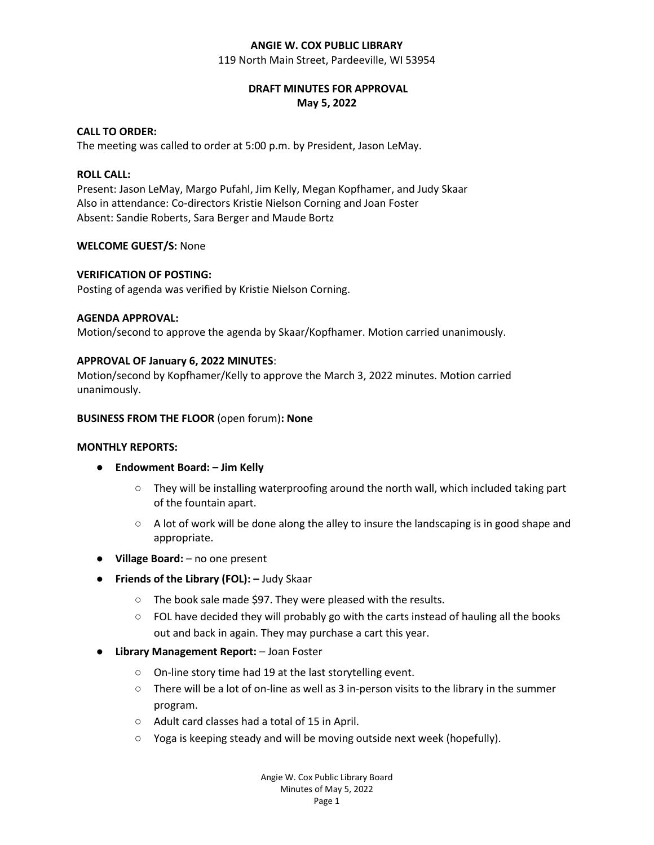#### **ANGIE W. COX PUBLIC LIBRARY**

119 North Main Street, Pardeeville, WI 53954

# **DRAFT MINUTES FOR APPROVAL May 5, 2022**

# **CALL TO ORDER:**

The meeting was called to order at 5:00 p.m. by President, Jason LeMay.

## **ROLL CALL:**

Present: Jason LeMay, Margo Pufahl, Jim Kelly, Megan Kopfhamer, and Judy Skaar Also in attendance: Co-directors Kristie Nielson Corning and Joan Foster Absent: Sandie Roberts, Sara Berger and Maude Bortz

## **WELCOME GUEST/S:** None

## **VERIFICATION OF POSTING:**

Posting of agenda was verified by Kristie Nielson Corning.

## **AGENDA APPROVAL:**

Motion/second to approve the agenda by Skaar/Kopfhamer. Motion carried unanimously.

## **APPROVAL OF January 6, 2022 MINUTES**:

Motion/second by Kopfhamer/Kelly to approve the March 3, 2022 minutes. Motion carried unanimously.

#### **BUSINESS FROM THE FLOOR** (open forum)**: None**

#### **MONTHLY REPORTS:**

- **Endowment Board: – Jim Kelly**
	- $\circ$  They will be installing waterproofing around the north wall, which included taking part of the fountain apart.
	- $\circ$  A lot of work will be done along the alley to insure the landscaping is in good shape and appropriate.
- **Village Board:** no one present
- **Friends of the Library (FOL): –** Judy Skaar
	- The book sale made \$97. They were pleased with the results.
	- $\circ$  FOL have decided they will probably go with the carts instead of hauling all the books out and back in again. They may purchase a cart this year.
- **Library Management Report:**  Joan Foster
	- On-line story time had 19 at the last storytelling event.
	- There will be a lot of on-line as well as 3 in-person visits to the library in the summer program.
	- Adult card classes had a total of 15 in April.
	- Yoga is keeping steady and will be moving outside next week (hopefully).